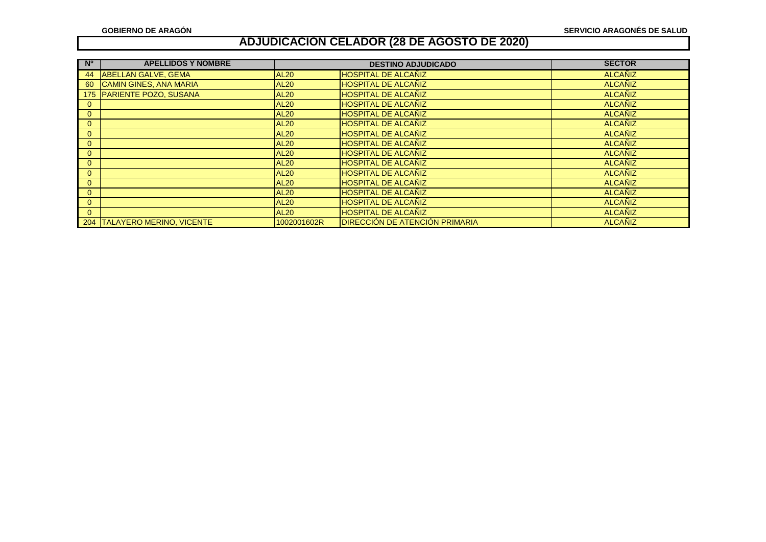| <b>N°</b>    | <b>APELLIDOS Y NOMBRE</b>     |             | <b>DESTINO ADJUDICADO</b>      | <b>SECTOR</b>  |
|--------------|-------------------------------|-------------|--------------------------------|----------------|
| 44           | <b>ABELLAN GALVE, GEMA</b>    | <b>AL20</b> | <b>HOSPITAL DE ALCAÑIZ</b>     | <b>ALCANIZ</b> |
| 60           | <b>CAMIN GINES, ANA MARIA</b> | <b>AL20</b> | <b>HOSPITAL DE ALCAÑIZ</b>     | <b>ALCANIZ</b> |
|              | 175 PARIENTE POZO, SUSANA     | <b>AL20</b> | <b>HOSPITAL DE ALCAÑIZ</b>     | <b>ALCANIZ</b> |
|              |                               | <b>AL20</b> | <b>HOSPITAL DE ALCAÑIZ</b>     | <b>ALCANIZ</b> |
| $\mathbf{0}$ |                               | <b>AL20</b> | <b>HOSPITAL DE ALCAÑIZ</b>     | <b>ALCANIZ</b> |
| $\mathbf{0}$ |                               | <b>AL20</b> | <b>HOSPITAL DE ALCAÑIZ</b>     | <b>ALCANIZ</b> |
| $\mathbf{0}$ |                               | <b>AL20</b> | <b>HOSPITAL DE ALCAÑIZ</b>     | <b>ALCANIZ</b> |
| $\mathbf{0}$ |                               | <b>AL20</b> | <b>HOSPITAL DE ALCAÑIZ</b>     | <b>ALCANIZ</b> |
| $\Omega$     |                               | <b>AL20</b> | <b>HOSPITAL DE ALCAÑIZ</b>     | <b>ALCANIZ</b> |
| $\Omega$     |                               | <b>AL20</b> | <b>HOSPITAL DE ALCAÑIZ</b>     | <b>ALCANIZ</b> |
| $\mathbf{0}$ |                               | <b>AL20</b> | <b>HOSPITAL DE ALCAÑIZ</b>     | <b>ALCANIZ</b> |
| $\mathbf{0}$ |                               | <b>AL20</b> | <b>HOSPITAL DE ALCAÑIZ</b>     | <b>ALCANIZ</b> |
| $\mathbf{0}$ |                               | <b>AL20</b> | <b>HOSPITAL DE ALCAÑIZ</b>     | <b>ALCANIZ</b> |
| $\Omega$     |                               | <b>AL20</b> | <b>HOSPITAL DE ALCAÑIZ</b>     | <b>ALCANIZ</b> |
| $\Omega$     |                               | <b>AL20</b> | <b>HOSPITAL DE ALCAÑIZ</b>     | <b>ALCANIZ</b> |
|              | 204 TALAYERO MERINO, VICENTE  | 1002001602R | DIRECCIÓN DE ATENCIÓN PRIMARIA | <b>ALCANIZ</b> |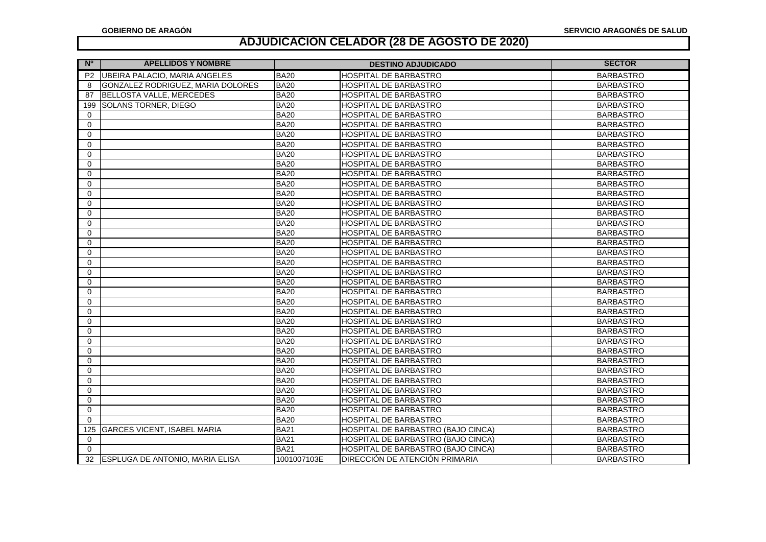| <b>N°</b><br><b>APELLIDOS Y NOMBRE</b>          |             | <b>DESTINO ADJUDICADO</b>                 | <b>SECTOR</b>    |
|-------------------------------------------------|-------------|-------------------------------------------|------------------|
| UBEIRA PALACIO, MARIA ANGELES<br>P <sub>2</sub> | <b>BA20</b> | HOSPITAL DE BARBASTRO                     | <b>BARBASTRO</b> |
| GONZALEZ RODRIGUEZ, MARIA DOLORES<br>8          | <b>BA20</b> | <b>HOSPITAL DE BARBASTRO</b>              | <b>BARBASTRO</b> |
| BELLOSTA VALLE, MERCEDES<br>87                  | <b>BA20</b> | HOSPITAL DE BARBASTRO                     | <b>BARBASTRO</b> |
| <b>SOLANS TORNER, DIEGO</b><br>199              | <b>BA20</b> | <b>HOSPITAL DE BARBASTRO</b>              | <b>BARBASTRO</b> |
| $\Omega$                                        | <b>BA20</b> | <b>HOSPITAL DE BARBASTRO</b>              | <b>BARBASTRO</b> |
| $\Omega$                                        | <b>BA20</b> | <b>HOSPITAL DE BARBASTRO</b>              | <b>BARBASTRO</b> |
| $\Omega$                                        | <b>BA20</b> | HOSPITAL DE BARBASTRO                     | <b>BARBASTRO</b> |
| $\Omega$                                        | <b>BA20</b> | HOSPITAL DE BARBASTRO                     | <b>BARBASTRO</b> |
| $\Omega$                                        | <b>BA20</b> | HOSPITAL DE BARBASTRO                     | <b>BARBASTRO</b> |
| $\Omega$                                        | <b>BA20</b> | HOSPITAL DE BARBASTRO                     | <b>BARBASTRO</b> |
| $\Omega$                                        | <b>BA20</b> | <b>HOSPITAL DE BARBASTRO</b>              | <b>BARBASTRO</b> |
| $\mathbf 0$                                     | <b>BA20</b> | HOSPITAL DE BARBASTRO                     | <b>BARBASTRO</b> |
| $\Omega$                                        | <b>BA20</b> | HOSPITAL DE BARBASTRO                     | <b>BARBASTRO</b> |
| $\Omega$                                        | <b>BA20</b> | HOSPITAL DE BARBASTRO                     | <b>BARBASTRO</b> |
| $\Omega$                                        | <b>BA20</b> | HOSPITAL DE BARBASTRO                     | <b>BARBASTRO</b> |
| $\mathbf 0$                                     | <b>BA20</b> | HOSPITAL DE BARBASTRO                     | <b>BARBASTRO</b> |
| 0                                               | <b>BA20</b> | HOSPITAL DE BARBASTRO                     | <b>BARBASTRO</b> |
| $\Omega$                                        | <b>BA20</b> | HOSPITAL DE BARBASTRO                     | <b>BARBASTRO</b> |
| $\Omega$                                        | <b>BA20</b> | HOSPITAL DE BARBASTRO                     | <b>BARBASTRO</b> |
| $\Omega$                                        | <b>BA20</b> | <b>HOSPITAL DE BARBASTRO</b>              | <b>BARBASTRO</b> |
| $\Omega$                                        | <b>BA20</b> | HOSPITAL DE BARBASTRO                     | <b>BARBASTRO</b> |
| 0                                               | <b>BA20</b> | <b>HOSPITAL DE BARBASTRO</b>              | <b>BARBASTRO</b> |
| $\Omega$                                        | <b>BA20</b> | <b>HOSPITAL DE BARBASTRO</b>              | <b>BARBASTRO</b> |
| $\Omega$                                        | <b>BA20</b> | HOSPITAL DE BARBASTRO                     | <b>BARBASTRO</b> |
| $\Omega$                                        | <b>BA20</b> | <b>HOSPITAL DE BARBASTRO</b>              | <b>BARBASTRO</b> |
| $\Omega$                                        | <b>BA20</b> | <b>HOSPITAL DE BARBASTRO</b>              | <b>BARBASTRO</b> |
| 0                                               | <b>BA20</b> | <b>HOSPITAL DE BARBASTRO</b>              | <b>BARBASTRO</b> |
| $\Omega$                                        | <b>BA20</b> | HOSPITAL DE BARBASTRO                     | <b>BARBASTRO</b> |
| $\Omega$                                        | <b>BA20</b> | HOSPITAL DE BARBASTRO                     | <b>BARBASTRO</b> |
| $\Omega$                                        | <b>BA20</b> | HOSPITAL DE BARBASTRO                     | <b>BARBASTRO</b> |
| $\mathbf 0$                                     | <b>BA20</b> | HOSPITAL DE BARBASTRO                     | <b>BARBASTRO</b> |
| 0                                               | <b>BA20</b> | HOSPITAL DE BARBASTRO                     | <b>BARBASTRO</b> |
| $\Omega$                                        | <b>BA20</b> | HOSPITAL DE BARBASTRO                     | <b>BARBASTRO</b> |
| $\Omega$                                        | <b>BA20</b> | HOSPITAL DE BARBASTRO                     | <b>BARBASTRO</b> |
| 0                                               | <b>BA20</b> | HOSPITAL DE BARBASTRO                     | <b>BARBASTRO</b> |
| $\Omega$                                        | <b>BA20</b> | HOSPITAL DE BARBASTRO                     | <b>BARBASTRO</b> |
| <b>GARCES VICENT, ISABEL MARIA</b><br>125       | <b>BA21</b> | HOSPITAL DE BARBASTRO (BAJO CINCA)        | <b>BARBASTRO</b> |
| $\Omega$                                        | <b>BA21</b> | <b>HOSPITAL DE BARBASTRO (BAJO CINCA)</b> | <b>BARBASTRO</b> |
| $\Omega$                                        | <b>BA21</b> | <b>HOSPITAL DE BARBASTRO (BAJO CINCA)</b> | <b>BARBASTRO</b> |
| <b>ESPLUGA DE ANTONIO, MARIA ELISA</b><br>32    | 1001007103E | DIRECCIÓN DE ATENCIÓN PRIMARIA            | <b>BARBASTRO</b> |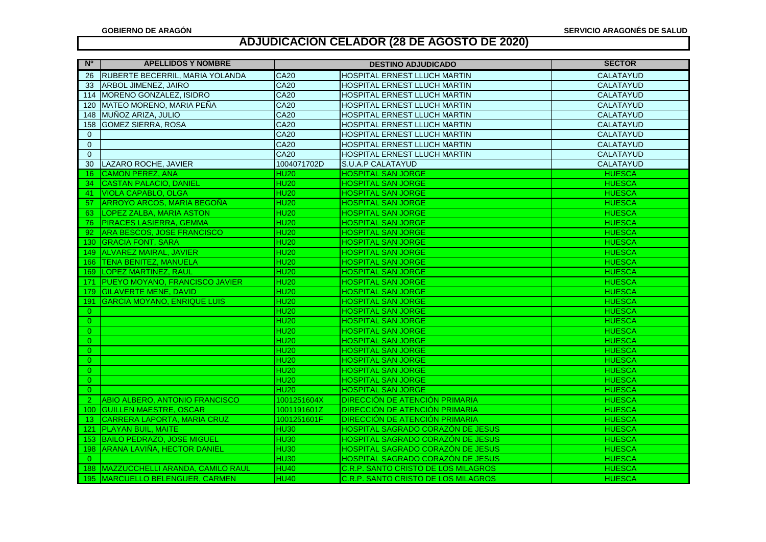| - N°<br><b>APELLIDOS Y NOMBRE</b>              |                  | <b>DESTINO ADJUDICADO</b>                | <b>SECTOR</b>    |
|------------------------------------------------|------------------|------------------------------------------|------------------|
| <b>IRUBERTE BECERRIL, MARIA YOLANDA</b><br>26  | <b>CA20</b>      | HOSPITAL ERNEST LLUCH MARTIN             | CALATAYUD        |
| <b>ARBOL JIMENEZ, JAIRO</b><br>-33             | <b>CA20</b>      | HOSPITAL ERNEST LLUCH MARTIN             | CALATAYUD        |
| MORENO GONZALEZ, ISIDRO<br>114                 | <b>CA20</b>      | HOSPITAL ERNEST LLUCH MARTIN             | CALATAYUD        |
| MATEO MORENO, MARIA PEÑA<br>120                | <b>CA20</b>      | HOSPITAL ERNEST LLUCH MARTIN             | <b>CALATAYUD</b> |
| MUÑOZ ARIZA, JULIO<br>148                      | <b>CA20</b>      | HOSPITAL ERNEST LLUCH MARTIN             | CALATAYUD        |
| <b>GOMEZ SIERRA, ROSA</b><br>158               | <b>CA20</b>      | HOSPITAL ERNEST LLUCH MARTIN             | <b>CALATAYUD</b> |
| $\Omega$                                       | <b>CA20</b>      | HOSPITAL ERNEST LLUCH MARTIN             | <b>CALATAYUD</b> |
| $\mathbf{0}$                                   | <b>CA20</b>      | HOSPITAL ERNEST LLUCH MARTIN             | CALATAYUD        |
| $\overline{0}$                                 | <b>CA20</b>      | HOSPITAL ERNEST LLUCH MARTIN             | CALATAYUD        |
| LAZARO ROCHE, JAVIER<br>30                     | 1004071702D      | <b>S.U.A.P CALATAYUD</b>                 | <b>CALATAYUD</b> |
| <b>CAMON PEREZ, ANA</b><br>16                  | HU <sub>20</sub> | <b>HOSPITAL SAN JORGE</b>                | <b>HUESCA</b>    |
| <b>CASTAN PALACIO, DANIEL</b><br>34            | <b>HU20</b>      | <b>HOSPITAL SAN JORGE</b>                | <b>HUESCA</b>    |
| <b>VIOLA CAPABLO, OLGA</b><br>-41              | <b>HU20</b>      | <b>HOSPITAL SAN JORGE</b>                | <b>HUESCA</b>    |
| ARROYO ARCOS, MARIA BEGOÑA<br>-57              | <b>HU20</b>      | <b>HOSPITAL SAN JORGE</b>                | <b>HUESCA</b>    |
| <b>LOPEZ ZALBA, MARIA ASTON</b><br>63.         | <b>HU20</b>      | <b>HOSPITAL SAN JORGE</b>                | <b>HUESCA</b>    |
| <b>PIRACES LASIERRA, GEMMA</b><br>76.          | <b>HU20</b>      | <b>HOSPITAL SAN JORGE</b>                | <b>HUESCA</b>    |
| <b>ARA BESCOS, JOSE FRANCISCO</b><br>92.       | <b>HU20</b>      | <b>HOSPITAL SAN JORGE</b>                | <b>HUESCA</b>    |
| 130 GRACIA FONT, SARA                          | HU <sub>20</sub> | <b>HOSPITAL SAN JORGE</b>                | <b>HUESCA</b>    |
| 149 ALVAREZ MAIRAL, JAVIER                     | <b>HU20</b>      | <b>HOSPITAL SAN JORGE</b>                | <b>HUESCA</b>    |
| 166 TENA BENITEZ, MANUELA                      | HU <sub>20</sub> | <b>HOSPITAL SAN JORGE</b>                | <b>HUESCA</b>    |
| 169 LOPEZ MARTINEZ, RAUL                       | <b>HU20</b>      | <b>HOSPITAL SAN JORGE</b>                | <b>HUESCA</b>    |
| PUEYO MOYANO, FRANCISCO JAVIER<br>171          | HU <sub>20</sub> | <b>HOSPITAL SAN JORGE</b>                | <b>HUESCA</b>    |
| 179 GILAVERTE MENE, DAVID                      | <b>HU20</b>      | <b>HOSPITAL SAN JORGE</b>                | <b>HUESCA</b>    |
| <b>GARCIA MOYANO, ENRIQUE LUIS</b><br>191      | <b>HU20</b>      | <b>HOSPITAL SAN JORGE</b>                | <b>HUESCA</b>    |
| $\Omega$                                       | <b>HU20</b>      | <b>HOSPITAL SAN JORGE</b>                | <b>HUESCA</b>    |
| $\mathbf{0}$                                   | <b>HU20</b>      | <b>HOSPITAL SAN JORGE</b>                | <b>HUESCA</b>    |
| $\overline{0}$                                 | <b>HU20</b>      | <b>HOSPITAL SAN JORGE</b>                | <b>HUESCA</b>    |
| $\overline{0}$                                 | <b>HU20</b>      | <b>HOSPITAL SAN JORGE</b>                | <b>HUESCA</b>    |
| $\Omega$                                       | HU <sub>20</sub> | <b>HOSPITAL SAN JORGE</b>                | <b>HUESCA</b>    |
| $\overline{0}$                                 | <b>HU20</b>      | <b>HOSPITAL SAN JORGE</b>                | <b>HUESCA</b>    |
| $\Omega$                                       | HU <sub>20</sub> | <b>HOSPITAL SAN JORGE</b>                | <b>HUESCA</b>    |
| $\overline{0}$                                 | <b>HU20</b>      | <b>HOSPITAL SAN JORGE</b>                | <b>HUESCA</b>    |
| $\overline{0}$                                 | HU <sub>20</sub> | <b>HOSPITAL SAN JORGE</b>                | <b>HUESCA</b>    |
| ABIO ALBERO, ANTONIO FRANCISCO<br>$\mathbf{2}$ | 1001251604X      | <b>DIRECCIÓN DE ATENCIÓN PRIMARIA</b>    | <b>HUESCA</b>    |
| 100 GUILLEN MAESTRE, OSCAR                     | 1001191601Z      | <b>DIRECCIÓN DE ATENCIÓN PRIMARIA</b>    | <b>HUESCA</b>    |
| CARRERA LAPORTA, MARIA CRUZ<br>13.             | 1001251601F      | <b>DIRECCIÓN DE ATENCIÓN PRIMARIA</b>    | <b>HUESCA</b>    |
| 121 PLAYAN BUIL, MAITE                         | HU <sub>30</sub> | <b>HOSPITAL SAGRADO CORAZÓN DE JESUS</b> | <b>HUESCA</b>    |
| 153 BAILO PEDRAZO, JOSE MIGUEL                 | HU <sub>30</sub> | <b>HOSPITAL SAGRADO CORAZÓN DE JESUS</b> | <b>HUESCA</b>    |
| 198 ARANA LAVIÑA, HECTOR DANIEL                | HU <sub>30</sub> | <b>HOSPITAL SAGRADO CORAZÓN DE JESUS</b> | <b>HUESCA</b>    |
| $\Omega$                                       | HU <sub>30</sub> | <b>HOSPITAL SAGRADO CORAZÓN DE JESUS</b> | <b>HUESCA</b>    |
| 188   MAZZUCCHELLI ARANDA, CAMILO RAUL         | <b>HU40</b>      | C.R.P. SANTO CRISTO DE LOS MILAGROS      | <b>HUESCA</b>    |
| 195 MARCUELLO BELENGUER, CARMEN                | <b>HU40</b>      | C.R.P. SANTO CRISTO DE LOS MILAGROS      | <b>HUESCA</b>    |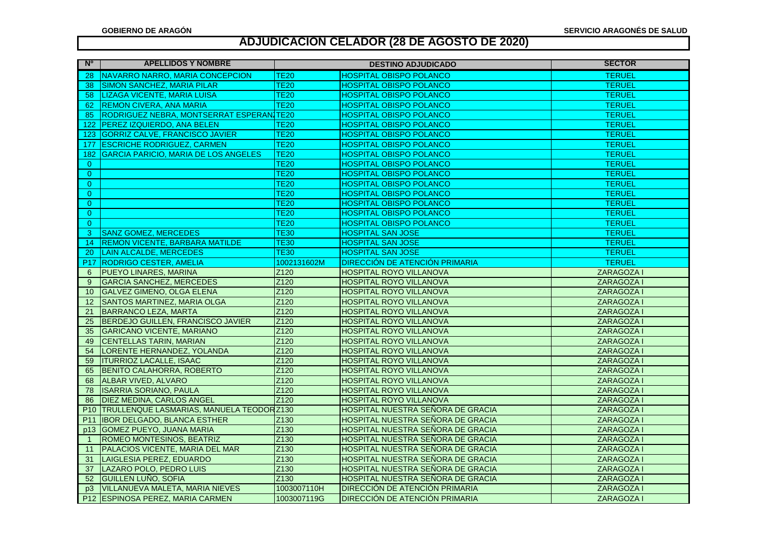| <b>No</b>       | <b>APELLIDOS Y NOMBRE</b>                   |                          | <b>DESTINO ADJUDICADO</b>             | <b>SECTOR</b>     |
|-----------------|---------------------------------------------|--------------------------|---------------------------------------|-------------------|
| 28              | NAVARRO NARRO, MARIA CONCEPCION             | $\overline{\text{TE20}}$ | <b>HOSPITAL OBISPO POLANCO</b>        | <b>TERUEL</b>     |
| 38              | <b>SIMON SANCHEZ, MARIA PILAR</b>           | <b>TE20</b>              | <b>HOSPITAL OBISPO POLANCO</b>        | <b>TERUEL</b>     |
| 58              | LIZAGA VICENTE, MARIA LUISA                 | <b>TE20</b>              | <b>HOSPITAL OBISPO POLANCO</b>        | <b>TERUEL</b>     |
| 62              | <b>REMON CIVERA, ANA MARIA</b>              | <b>TE20</b>              | <b>HOSPITAL OBISPO POLANCO</b>        | <b>TERUEL</b>     |
| 85              | RODRIGUEZ NEBRA, MONTSERRAT ESPERAN.        | <b>TE20</b>              | <b>HOSPITAL OBISPO POLANCO</b>        | <b>TERUEL</b>     |
| 122             | PEREZ IZQUIERDO, ANA BELEN                  | <b>TE20</b>              | <b>HOSPITAL OBISPO POLANCO</b>        | <b>TERUEL</b>     |
| 123             | <b>GORRIZ CALVE, FRANCISCO JAVIER</b>       | $\overline{\text{TE20}}$ | <b>HOSPITAL OBISPO POLANCO</b>        | <b>TERUEL</b>     |
| 177             | <b>ESCRICHE RODRIGUEZ, CARMEN</b>           | <b>TE20</b>              | <b>HOSPITAL OBISPO POLANCO</b>        | <b>TERUEL</b>     |
| 182             | <b>GARCIA PARICIO, MARIA DE LOS ANGELES</b> | <b>TE20</b>              | <b>HOSPITAL OBISPO POLANCO</b>        | <b>TERUEL</b>     |
| $\overline{0}$  |                                             | TE20                     | <b>HOSPITAL OBISPO POLANCO</b>        | <b>TERUEL</b>     |
| $\Omega$        |                                             | <b>TE20</b>              | <b>HOSPITAL OBISPO POLANCO</b>        | <b>TERUEL</b>     |
| $\overline{0}$  |                                             | TE20                     | <b>HOSPITAL OBISPO POLANCO</b>        | <b>TERUEL</b>     |
| $\Omega$        |                                             | T <sub>E20</sub>         | <b>HOSPITAL OBISPO POLANCO</b>        | <b>TERUEL</b>     |
| $\overline{0}$  |                                             | <b>TE20</b>              | <b>HOSPITAL OBISPO POLANCO</b>        | <b>TERUEL</b>     |
| $\Omega$        |                                             | <b>TE20</b>              | <b>HOSPITAL OBISPO POLANCO</b>        | <b>TERUEL</b>     |
| $\overline{0}$  |                                             | <b>TE20</b>              | <b>HOSPITAL OBISPO POLANCO</b>        | <b>TERUEL</b>     |
| 3               | <b>SANZ GOMEZ, MERCEDES</b>                 | <b>TE30</b>              | <b>HOSPITAL SAN JOSE</b>              | <b>TERUEL</b>     |
| 14              | <b>REMON VICENTE, BARBARA MATILDE</b>       | <b>TE30</b>              | <b>HOSPITAL SAN JOSE</b>              | <b>TERUEL</b>     |
| 20              | <b>LAIN ALCALDE, MERCEDES</b>               | <b>TE30</b>              | <b>HOSPITAL SAN JOSE</b>              | <b>TERUEL</b>     |
| <b>P17</b>      | <b>RODRIGO CESTER, AMELIA</b>               | 1002131602M              | <b>DIRECCIÓN DE ATENCIÓN PRIMARIA</b> | <b>TERUEL</b>     |
| 6               | <b>PUEYO LINARES, MARINA</b>                | Z120                     | <b>HOSPITAL ROYO VILLANOVA</b>        | <b>ZARAGOZAI</b>  |
| 9               | <b>GARCIA SANCHEZ, MERCEDES</b>             | Z120                     | <b>HOSPITAL ROYO VILLANOVA</b>        | <b>ZARAGOZA I</b> |
| 10              | <b>GALVEZ GIMENO, OLGA ELENA</b>            | Z120                     | <b>HOSPITAL ROYO VILLANOVA</b>        | ZARAGOZA I        |
| 12              | SANTOS MARTINEZ, MARIA OLGA                 | Z <sub>120</sub>         | <b>HOSPITAL ROYO VILLANOVA</b>        | ZARAGOZA I        |
| 21              | <b>BARRANCO LEZA, MARTA</b>                 | Z120                     | <b>HOSPITAL ROYO VILLANOVA</b>        | ZARAGOZA I        |
| 25              | BERDEJO GUILLEN, FRANCISCO JAVIER           | Z120                     | <b>HOSPITAL ROYO VILLANOVA</b>        | ZARAGOZA I        |
| 35              | <b>GARICANO VICENTE, MARIANO</b>            | Z120                     | <b>HOSPITAL ROYO VILLANOVA</b>        | ZARAGOZA I        |
| 49              | <b>CENTELLAS TARIN, MARIAN</b>              | Z <sub>120</sub>         | <b>HOSPITAL ROYO VILLANOVA</b>        | ZARAGOZA I        |
| 54              | LORENTE HERNANDEZ, YOLANDA                  | Z120                     | <b>HOSPITAL ROYO VILLANOVA</b>        | ZARAGOZA I        |
| 59              | <b>ITURRIOZ LACALLE, ISAAC</b>              | Z120                     | <b>HOSPITAL ROYO VILLANOVA</b>        | ZARAGOZA I        |
| 65              | <b>BENITO CALAHORRA, ROBERTO</b>            | Z120                     | HOSPITAL ROYO VILLANOVA               | ZARAGOZA I        |
| 68              | <b>ALBAR VIVED, ALVARO</b>                  | Z120                     | <b>HOSPITAL ROYO VILLANOVA</b>        | ZARAGOZA I        |
| 78              | <b>ISARRIA SORIANO, PAULA</b>               | Z120                     | <b>HOSPITAL ROYO VILLANOVA</b>        | ZARAGOZA I        |
| 86              | DIEZ MEDINA, CARLOS ANGEL                   | Z <sub>120</sub>         | <b>HOSPITAL ROYO VILLANOVA</b>        | <b>ZARAGOZA I</b> |
| P <sub>10</sub> | TRULLENQUE LASMARIAS, MANUELA TEODOR Z130   |                          | HOSPITAL NUESTRA SEÑORA DE GRACIA     | ZARAGOZA I        |
| P <sub>11</sub> | <b>IBOR DELGADO, BLANCA ESTHER</b>          | Z130                     | HOSPITAL NUESTRA SEÑORA DE GRACIA     | <b>ZARAGOZAI</b>  |
| p13             | <b>GOMEZ PUEYO, JUANA MARIA</b>             | Z130                     | HOSPITAL NUESTRA SEÑORA DE GRACIA     | ZARAGOZA I        |
| $\overline{1}$  | ROMEO MONTESINOS, BEATRIZ                   | Z130                     | HOSPITAL NUESTRA SEÑORA DE GRACIA     | ZARAGOZA I        |
| 11              | PALACIOS VICENTE, MARIA DEL MAR             | Z <sub>130</sub>         | HOSPITAL NUESTRA SEÑORA DE GRACIA     | ZARAGOZA I        |
| 31              | LAIGLESIA PEREZ, EDUARDO                    | Z <sub>130</sub>         | HOSPITAL NUESTRA SEÑORA DE GRACIA     | ZARAGOZA I        |
| 37              | LAZARO POLO, PEDRO LUIS                     | Z130                     | HOSPITAL NUESTRA SEÑORA DE GRACIA     | ZARAGOZA I        |
| 52              | <b>GUILLEN LUÑO, SOFIA</b>                  | Z130                     | HOSPITAL NUESTRA SEÑORA DE GRACIA     | ZARAGOZA I        |
| D <sub>3</sub>  | <b>VILLANUEVA MALETA, MARIA NIEVES</b>      | 1003007110H              | DIRECCIÓN DE ATENCIÓN PRIMARIA        | <b>ZARAGOZAI</b>  |
| P <sub>12</sub> | <b>ESPINOSA PEREZ, MARIA CARMEN</b>         | 1003007119G              | <b>DIRECCIÓN DE ATENCIÓN PRIMARIA</b> | ZARAGOZA I        |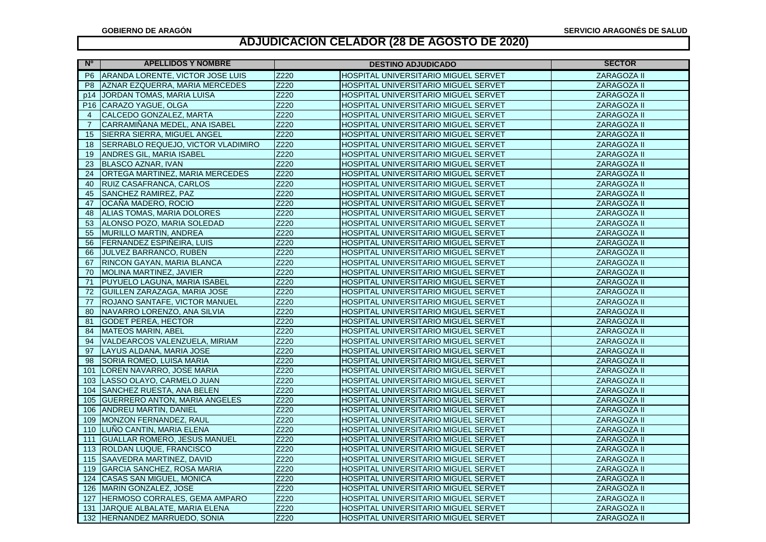| <b>N°</b>       | <b>APELLIDOS Y NOMBRE</b>            | <b>DESTINO ADJUDICADO</b> |                                             | <b>SECTOR</b>      |
|-----------------|--------------------------------------|---------------------------|---------------------------------------------|--------------------|
| P <sub>6</sub>  | ARANDA LORENTE, VICTOR JOSE LUIS     | Z220                      | HOSPITAL UNIVERSITARIO MIGUEL SERVET        | <b>ZARAGOZA II</b> |
| P <sub>8</sub>  | AZNAR EZQUERRA, MARIA MERCEDES       | Z220                      | HOSPITAL UNIVERSITARIO MIGUEL SERVET        | ZARAGOZA II        |
| p14             | JORDAN TOMAS, MARIA LUISA            | Z220                      | HOSPITAL UNIVERSITARIO MIGUEL SERVET        | ZARAGOZA II        |
| P <sub>16</sub> | CARAZO YAGUE, OLGA                   | Z220                      | HOSPITAL UNIVERSITARIO MIGUEL SERVET        | ZARAGOZA II        |
| $\overline{4}$  | CALCEDO GONZALEZ, MARTA              | Z220                      | HOSPITAL UNIVERSITARIO MIGUEL SERVET        | ZARAGOZA II        |
| $\overline{7}$  | CARRAMIÑANA MEDEL, ANA ISABEL        | Z220                      | HOSPITAL UNIVERSITARIO MIGUEL SERVET        | ZARAGOZA II        |
| 15              | SIERRA SIERRA, MIGUEL ANGEL          | Z220                      | HOSPITAL UNIVERSITARIO MIGUEL SERVET        | ZARAGOZA II        |
| 18              | SERRABLO REQUEJO, VICTOR VLADIMIRO   | Z220                      | HOSPITAL UNIVERSITARIO MIGUEL SERVET        | ZARAGOZA II        |
| 19              | ANDRES GIL, MARIA ISABEL             | Z220                      | HOSPITAL UNIVERSITARIO MIGUEL SERVET        | ZARAGOZA II        |
| 23              | <b>BLASCO AZNAR, IVAN</b>            | Z220                      | HOSPITAL UNIVERSITARIO MIGUEL SERVET        | ZARAGOZA II        |
| 24              | ORTEGA MARTINEZ, MARIA MERCEDES      | Z220                      | HOSPITAL UNIVERSITARIO MIGUEL SERVET        | ZARAGOZA II        |
| 40              | RUIZ CASAFRANCA, CARLOS              | Z220                      | HOSPITAL UNIVERSITARIO MIGUEL SERVET        | ZARAGOZA II        |
| 45              | SANCHEZ RAMIREZ, PAZ                 | Z220                      | HOSPITAL UNIVERSITARIO MIGUEL SERVET        | ZARAGOZA II        |
| 47              | OCAÑA MADERO, ROCIO                  | Z220                      | HOSPITAL UNIVERSITARIO MIGUEL SERVET        | ZARAGOZA II        |
| 48              | ALIAS TOMAS, MARIA DOLORES           | Z220                      | HOSPITAL UNIVERSITARIO MIGUEL SERVET        | ZARAGOZA II        |
| 53              | ALONSO POZO, MARIA SOLEDAD           | Z220                      | HOSPITAL UNIVERSITARIO MIGUEL SERVET        | ZARAGOZA II        |
| 55              | <b>MURILLO MARTIN, ANDREA</b>        | Z220                      | HOSPITAL UNIVERSITARIO MIGUEL SERVET        | ZARAGOZA II        |
| 56              | FERNANDEZ ESPIÑEIRA, LUIS            | Z220                      | HOSPITAL UNIVERSITARIO MIGUEL SERVET        | ZARAGOZA II        |
| 66              | <b>JULVEZ BARRANCO, RUBEN</b>        | Z220                      | HOSPITAL UNIVERSITARIO MIGUEL SERVET        | ZARAGOZA II        |
| 67              | RINCON GAYAN, MARIA BLANCA           | Z220                      | HOSPITAL UNIVERSITARIO MIGUEL SERVET        | ZARAGOZA II        |
| 70              | MOLINA MARTINEZ, JAVIER              | Z220                      | HOSPITAL UNIVERSITARIO MIGUEL SERVET        | ZARAGOZA II        |
| 71              | PUYUELO LAGUNA, MARIA ISABEL         | Z220                      | HOSPITAL UNIVERSITARIO MIGUEL SERVET        | ZARAGOZA II        |
| 72              | GUILLEN ZARAZAGA, MARIA JOSE         | Z220                      | HOSPITAL UNIVERSITARIO MIGUEL SERVET        | ZARAGOZA II        |
| 77              | ROJANO SANTAFE, VICTOR MANUEL        | Z220                      | HOSPITAL UNIVERSITARIO MIGUEL SERVET        | ZARAGOZA II        |
| 80              | NAVARRO LORENZO, ANA SILVIA          | Z220                      | HOSPITAL UNIVERSITARIO MIGUEL SERVET        | ZARAGOZA II        |
| 81              | <b>GODET PEREA, HECTOR</b>           | Z220                      | HOSPITAL UNIVERSITARIO MIGUEL SERVET        | ZARAGOZA II        |
| 84              | <b>MATEOS MARIN, ABEL</b>            | Z220                      | HOSPITAL UNIVERSITARIO MIGUEL SERVET        | ZARAGOZA II        |
| 94              | VALDEARCOS VALENZUELA, MIRIAM        | Z220                      | HOSPITAL UNIVERSITARIO MIGUEL SERVET        | ZARAGOZA II        |
| 97              | LAYUS ALDANA, MARIA JOSE             | Z220                      | HOSPITAL UNIVERSITARIO MIGUEL SERVET        | ZARAGOZA II        |
| 98              | SORIA ROMEO, LUISA MARIA             | Z220                      | HOSPITAL UNIVERSITARIO MIGUEL SERVET        | ZARAGOZA II        |
| 101             | LOREN NAVARRO, JOSE MARIA            | Z220                      | HOSPITAL UNIVERSITARIO MIGUEL SERVET        | ZARAGOZA II        |
| 103             | LASSO OLAYO, CARMELO JUAN            | Z220                      | HOSPITAL UNIVERSITARIO MIGUEL SERVET        | ZARAGOZA II        |
| 104             | SANCHEZ RUESTA, ANA BELEN            | Z220                      | HOSPITAL UNIVERSITARIO MIGUEL SERVET        | ZARAGOZA II        |
| 105             | <b>GUERRERO ANTON, MARIA ANGELES</b> | Z220                      | HOSPITAL UNIVERSITARIO MIGUEL SERVET        | ZARAGOZA II        |
| 106             | <b>ANDREU MARTIN, DANIEL</b>         | Z220                      | HOSPITAL UNIVERSITARIO MIGUEL SERVET        | ZARAGOZA II        |
| 109             | MONZON FERNANDEZ, RAUL               | Z220                      | HOSPITAL UNIVERSITARIO MIGUEL SERVET        | ZARAGOZA II        |
| 110             | LUÑO CANTIN, MARIA ELENA             | Z220                      | HOSPITAL UNIVERSITARIO MIGUEL SERVET        | ZARAGOZA II        |
| 111             | <b>GUALLAR ROMERO, JESUS MANUEL</b>  | Z220                      | HOSPITAL UNIVERSITARIO MIGUEL SERVET        | ZARAGOZA II        |
| 113             | ROLDAN LUQUE, FRANCISCO              | Z220                      | HOSPITAL UNIVERSITARIO MIGUEL SERVET        | ZARAGOZA II        |
| 115             | <b>SAAVEDRA MARTINEZ, DAVID</b>      | Z220                      | HOSPITAL UNIVERSITARIO MIGUEL SERVET        | ZARAGOZA II        |
| 119             | <b>GARCIA SANCHEZ, ROSA MARIA</b>    | Z220                      | HOSPITAL UNIVERSITARIO MIGUEL SERVET        | ZARAGOZA II        |
| 124             | <b>CASAS SAN MIGUEL, MONICA</b>      | Z220                      | <b>HOSPITAL UNIVERSITARIO MIGUEL SERVET</b> | ZARAGOZA II        |
| 126             | MARIN GONZALEZ, JOSE                 | Z220                      | HOSPITAL UNIVERSITARIO MIGUEL SERVET        | ZARAGOZA II        |
| 127             | HERMOSO CORRALES, GEMA AMPARO        | Z220                      | HOSPITAL UNIVERSITARIO MIGUEL SERVET        | ZARAGOZA II        |
| 131             | JARQUE ALBALATE, MARIA ELENA         | Z220                      | HOSPITAL UNIVERSITARIO MIGUEL SERVET        | ZARAGOZA II        |
| 132             | HERNANDEZ MARRUEDO, SONIA            | Z220                      | HOSPITAL UNIVERSITARIO MIGUEL SERVET        | ZARAGOZA II        |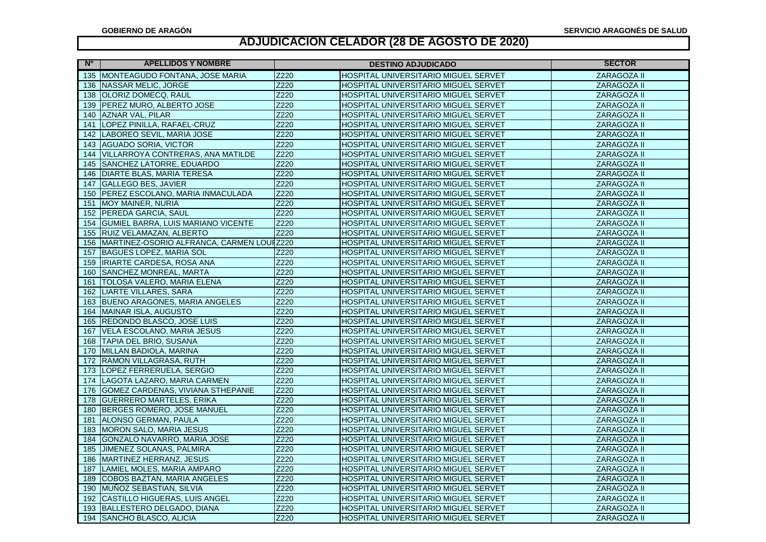| N° I | <b>APELLIDOS Y NOMBRE</b>                 |      | <b>DESTINO ADJUDICADO</b>                   | <b>SECTOR</b> |
|------|-------------------------------------------|------|---------------------------------------------|---------------|
|      | 135 MONTEAGUDO FONTANA, JOSE MARIA        | Z220 | HOSPITAL UNIVERSITARIO MIGUEL SERVET        | ZARAGOZA II   |
|      | 136 NASSAR MELIC, JORGE                   | Z220 | HOSPITAL UNIVERSITARIO MIGUEL SERVET        | ZARAGOZA II   |
| 138  | OLORIZ DOMECQ, RAUL                       | Z220 | HOSPITAL UNIVERSITARIO MIGUEL SERVET        | ZARAGOZA II   |
| 139  | PEREZ MURO, ALBERTO JOSE                  | Z220 | HOSPITAL UNIVERSITARIO MIGUEL SERVET        | ZARAGOZA II   |
| 140  | AZNAR VAL, PILAR                          | Z220 | HOSPITAL UNIVERSITARIO MIGUEL SERVET        | ZARAGOZA II   |
| 141  | LOPEZ PINILLA, RAFAEL-CRUZ                | Z220 | HOSPITAL UNIVERSITARIO MIGUEL SERVET        | ZARAGOZA II   |
| 142  | LABOREO SEVIL, MARIA JOSE                 | Z220 | HOSPITAL UNIVERSITARIO MIGUEL SERVET        | ZARAGOZA II   |
| 143  | <b>AGUADO SORIA, VICTOR</b>               | Z220 | HOSPITAL UNIVERSITARIO MIGUEL SERVET        | ZARAGOZA II   |
| 144  | VILLARROYA CONTRERAS, ANA MATILDE         | Z220 | HOSPITAL UNIVERSITARIO MIGUEL SERVET        | ZARAGOZA II   |
| 145  | <b>SANCHEZ LATORRE, EDUARDO</b>           | Z220 | HOSPITAL UNIVERSITARIO MIGUEL SERVET        | ZARAGOZA II   |
| 146  | <b>DIARTE BLAS, MARIA TERESA</b>          | Z220 | HOSPITAL UNIVERSITARIO MIGUEL SERVET        | ZARAGOZA II   |
| 147  | <b>GALLEGO BES, JAVIER</b>                | Z220 | HOSPITAL UNIVERSITARIO MIGUEL SERVET        | ZARAGOZA II   |
| 150  | PEREZ ESCOLANO, MARIA INMACULADA          | Z220 | HOSPITAL UNIVERSITARIO MIGUEL SERVET        | ZARAGOZA II   |
| 151  | MOY MAINER, NURIA                         | Z220 | HOSPITAL UNIVERSITARIO MIGUEL SERVET        | ZARAGOZA II   |
| 152  | PEREDA GARCIA, SAUL                       | Z220 | HOSPITAL UNIVERSITARIO MIGUEL SERVET        | ZARAGOZA II   |
| 154  | GUMIEL BARRA, LUIS MARIANO VICENTE        | Z220 | HOSPITAL UNIVERSITARIO MIGUEL SERVET        | ZARAGOZA II   |
| 155  | RUIZ VELAMAZAN, ALBERTO                   | Z220 | HOSPITAL UNIVERSITARIO MIGUEL SERVET        | ZARAGOZA II   |
| 156  | MARTINEZ-OSORIO ALFRANCA, CARMEN LOUIZ220 |      | HOSPITAL UNIVERSITARIO MIGUEL SERVET        | ZARAGOZA II   |
| 157  | <b>BAGUES LOPEZ, MARIA SOL</b>            | Z220 | HOSPITAL UNIVERSITARIO MIGUEL SERVET        | ZARAGOZA II   |
| 159  | <b>IRIARTE CARDESA, ROSA ANA</b>          | Z220 | HOSPITAL UNIVERSITARIO MIGUEL SERVET        | ZARAGOZA II   |
| 160  | SANCHEZ MONREAL, MARTA                    | Z220 | HOSPITAL UNIVERSITARIO MIGUEL SERVET        | ZARAGOZA II   |
| 161  | TOLOSA VALERO, MARIA ELENA                | Z220 | HOSPITAL UNIVERSITARIO MIGUEL SERVET        | ZARAGOZA II   |
| 162  | <b>LIARTE VILLARES, SARA</b>              | Z220 | HOSPITAL UNIVERSITARIO MIGUEL SERVET        | ZARAGOZA II   |
| 163  | <b>BUENO ARAGONES, MARIA ANGELES</b>      | Z220 | <b>HOSPITAL UNIVERSITARIO MIGUEL SERVET</b> | ZARAGOZA II   |
| 164  | MAINAR ISLA, AUGUSTO                      | Z220 | HOSPITAL UNIVERSITARIO MIGUEL SERVET        | ZARAGOZA II   |
| 165  | <b>REDONDO BLASCO, JOSE LUIS</b>          | Z220 | HOSPITAL UNIVERSITARIO MIGUEL SERVET        | ZARAGOZA II   |
| 167  | VELA ESCOLANO, MARIA JESUS                | Z220 | HOSPITAL UNIVERSITARIO MIGUEL SERVET        | ZARAGOZA II   |
| 168  | TAPIA DEL BRIO, SUSANA                    | Z220 | HOSPITAL UNIVERSITARIO MIGUEL SERVET        | ZARAGOZA II   |
| 170  | MILLAN BADIOLA, MARINA                    | Z220 | HOSPITAL UNIVERSITARIO MIGUEL SERVET        | ZARAGOZA II   |
| 172  | RAMON VILLAGRASA, RUTH                    | Z220 | HOSPITAL UNIVERSITARIO MIGUEL SERVET        | ZARAGOZA II   |
| 173  | LOPEZ FERRERUELA, SERGIO                  | Z220 | <b>HOSPITAL UNIVERSITARIO MIGUEL SERVET</b> | ZARAGOZA II   |
| 174  | LAGOTA LAZARO, MARIA CARMEN               | Z220 | HOSPITAL UNIVERSITARIO MIGUEL SERVET        | ZARAGOZA II   |
| 176  | GOMEZ CARDENAS, VIVIANA STHEPANIE         | Z220 | HOSPITAL UNIVERSITARIO MIGUEL SERVET        | ZARAGOZA II   |
| 178  | <b>GUERRERO MARTELES, ERIKA</b>           | Z220 | HOSPITAL UNIVERSITARIO MIGUEL SERVET        | ZARAGOZA II   |
| 180  | BERGES ROMERO, JOSE MANUEL                | Z220 | HOSPITAL UNIVERSITARIO MIGUEL SERVET        | ZARAGOZA II   |
| 181  | ALONSO GERMAN, PAULA                      | Z220 | HOSPITAL UNIVERSITARIO MIGUEL SERVET        | ZARAGOZA II   |
| 183  | MORON SALO, MARIA JESUS                   | Z220 | HOSPITAL UNIVERSITARIO MIGUEL SERVET        | ZARAGOZA II   |
| 184  | GONZALO NAVARRO, MARIA JOSE               | Z220 | HOSPITAL UNIVERSITARIO MIGUEL SERVET        | ZARAGOZA II   |
| 185  | JIMENEZ SOLANAS, PALMIRA                  | Z220 | HOSPITAL UNIVERSITARIO MIGUEL SERVET        | ZARAGOZA II   |
| 186  | MARTINEZ HERRANZ, JESUS                   | Z220 | HOSPITAL UNIVERSITARIO MIGUEL SERVET        | ZARAGOZA II   |
| 187  | LAMIEL MOLES, MARIA AMPARO                | Z220 | HOSPITAL UNIVERSITARIO MIGUEL SERVET        | ZARAGOZA II   |
| 189  | <b>COBOS BAZTAN, MARIA ANGELES</b>        | Z220 | HOSPITAL UNIVERSITARIO MIGUEL SERVET        | ZARAGOZA II   |
| 190  | MUNOZ SEBASTIAN, SILVIA                   | Z220 | HOSPITAL UNIVERSITARIO MIGUEL SERVET        | ZARAGOZA II   |
| 192  | <b>CASTILLO HIGUERAS, LUIS ANGEL</b>      | Z220 | HOSPITAL UNIVERSITARIO MIGUEL SERVET        | ZARAGOZA II   |
| 193  | BALLESTERO DELGADO, DIANA                 | Z220 | HOSPITAL UNIVERSITARIO MIGUEL SERVET        | ZARAGOZA II   |
| 194  | SANCHO BLASCO, ALICIA                     | Z220 | HOSPITAL UNIVERSITARIO MIGUEL SERVET        | ZARAGOZA II   |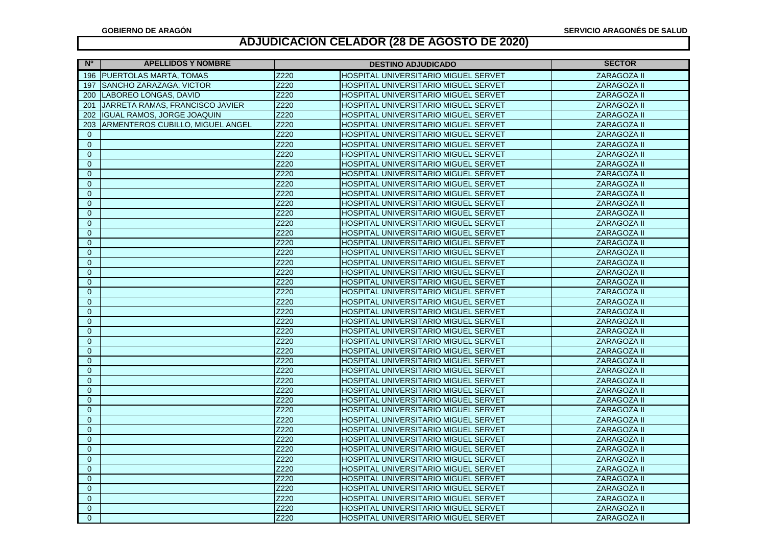| N°             | <b>APELLIDOS Y NOMBRE</b>         | <b>DESTINO ADJUDICADO</b> |                                             | <b>SECTOR</b>      |
|----------------|-----------------------------------|---------------------------|---------------------------------------------|--------------------|
|                | 196 PUERTOLAS MARTA, TOMAS        | Z220                      | HOSPITAL UNIVERSITARIO MIGUEL SERVET        | <b>ZARAGOZA II</b> |
| 197            | SANCHO ZARAZAGA, VICTOR           | Z220                      | HOSPITAL UNIVERSITARIO MIGUEL SERVET        | ZARAGOZA II        |
| 200            | LABOREO LONGAS, DAVID             | Z220                      | HOSPITAL UNIVERSITARIO MIGUEL SERVET        | <b>ZARAGOZA II</b> |
| 201            | JARRETA RAMAS, FRANCISCO JAVIER   | Z220                      | HOSPITAL UNIVERSITARIO MIGUEL SERVET        | ZARAGOZA II        |
| 202            | <b>IGUAL RAMOS, JORGE JOAQUIN</b> | Z220                      | HOSPITAL UNIVERSITARIO MIGUEL SERVET        | <b>ZARAGOZA II</b> |
| 203            | ARMENTEROS CUBILLO, MIGUEL ANGEL  | Z220                      | HOSPITAL UNIVERSITARIO MIGUEL SERVET        | <b>ZARAGOZA II</b> |
| $\Omega$       |                                   | Z220                      | HOSPITAL UNIVERSITARIO MIGUEL SERVET        | <b>ZARAGOZA II</b> |
| $\mathbf{0}$   |                                   | Z220                      | HOSPITAL UNIVERSITARIO MIGUEL SERVET        | <b>ZARAGOZA II</b> |
| $\mathbf{0}$   |                                   | Z220                      | HOSPITAL UNIVERSITARIO MIGUEL SERVET        | <b>ZARAGOZA II</b> |
| $\bf 0$        |                                   | Z220                      | HOSPITAL UNIVERSITARIO MIGUEL SERVET        | ZARAGOZA II        |
| $\overline{0}$ |                                   | Z220                      | HOSPITAL UNIVERSITARIO MIGUEL SERVET        | ZARAGOZA II        |
| $\mathbf{0}$   |                                   | Z220                      | HOSPITAL UNIVERSITARIO MIGUEL SERVET        | <b>ZARAGOZA II</b> |
| $\overline{0}$ |                                   | Z220                      | HOSPITAL UNIVERSITARIO MIGUEL SERVET        | <b>ZARAGOZA II</b> |
| $\mathbf 0$    |                                   | Z220                      | HOSPITAL UNIVERSITARIO MIGUEL SERVET        | <b>ZARAGOZA II</b> |
| $\pmb{0}$      |                                   | Z220                      | HOSPITAL UNIVERSITARIO MIGUEL SERVET        | ZARAGOZA II        |
| $\overline{0}$ |                                   | Z220                      | HOSPITAL UNIVERSITARIO MIGUEL SERVET        | <b>ZARAGOZA II</b> |
| $\overline{0}$ |                                   | Z220                      | HOSPITAL UNIVERSITARIO MIGUEL SERVET        | <b>ZARAGOZA II</b> |
| $\overline{0}$ |                                   | Z220                      | HOSPITAL UNIVERSITARIO MIGUEL SERVET        | <b>ZARAGOZA II</b> |
| $\Omega$       |                                   | Z220                      | HOSPITAL UNIVERSITARIO MIGUEL SERVET        | ZARAGOZA II        |
| $\mathbf{0}$   |                                   | Z220                      | HOSPITAL UNIVERSITARIO MIGUEL SERVET        | <b>ZARAGOZA II</b> |
| $\mathbf 0$    |                                   | Z220                      | HOSPITAL UNIVERSITARIO MIGUEL SERVET        | ZARAGOZA II        |
| $\mathbf{0}$   |                                   | Z220                      | HOSPITAL UNIVERSITARIO MIGUEL SERVET        | <b>ZARAGOZA II</b> |
| $\overline{0}$ |                                   | Z220                      | HOSPITAL UNIVERSITARIO MIGUEL SERVET        | ZARAGOZA II        |
| $\overline{0}$ |                                   | Z220                      | HOSPITAL UNIVERSITARIO MIGUEL SERVET        | <b>ZARAGOZA II</b> |
| $\overline{0}$ |                                   | Z220                      | HOSPITAL UNIVERSITARIO MIGUEL SERVET        | <b>ZARAGOZA II</b> |
| $\overline{0}$ |                                   | Z220                      | HOSPITAL UNIVERSITARIO MIGUEL SERVET        | ZARAGOZA II        |
| $\mathbf{0}$   |                                   | Z220                      | HOSPITAL UNIVERSITARIO MIGUEL SERVET        | ZARAGOZA II        |
| $\mathbf{0}$   |                                   | Z220                      | <b>HOSPITAL UNIVERSITARIO MIGUEL SERVET</b> | <b>ZARAGOZA II</b> |
| $\mathbf{0}$   |                                   | Z220                      | HOSPITAL UNIVERSITARIO MIGUEL SERVET        | <b>ZARAGOZA II</b> |
| $\overline{0}$ |                                   | Z220                      | HOSPITAL UNIVERSITARIO MIGUEL SERVET        | <b>ZARAGOZA II</b> |
| $\mathbf{0}$   |                                   | Z220                      | HOSPITAL UNIVERSITARIO MIGUEL SERVET        | ZARAGOZA II        |
| $\Omega$       |                                   | Z220                      | HOSPITAL UNIVERSITARIO MIGUEL SERVET        | <b>ZARAGOZA II</b> |
| $\overline{0}$ |                                   | Z220                      | HOSPITAL UNIVERSITARIO MIGUEL SERVET        | ZARAGOZA II        |
| $\mathbf{0}$   |                                   | Z220                      | HOSPITAL UNIVERSITARIO MIGUEL SERVET        | <b>ZARAGOZA II</b> |
| $\overline{0}$ |                                   | Z220                      | HOSPITAL UNIVERSITARIO MIGUEL SERVET        | <b>ZARAGOZA II</b> |
| $\Omega$       |                                   | Z220                      | HOSPITAL UNIVERSITARIO MIGUEL SERVET        | ZARAGOZA II        |
| $\overline{0}$ |                                   | Z220                      | HOSPITAL UNIVERSITARIO MIGUEL SERVET        | ZARAGOZA II        |
| $\pmb{0}$      |                                   | Z220                      | HOSPITAL UNIVERSITARIO MIGUEL SERVET        | ZARAGOZA II        |
| $\mathbf{0}$   |                                   | Z220                      | HOSPITAL UNIVERSITARIO MIGUEL SERVET        | ZARAGOZA II        |
| $\pmb{0}$      |                                   | Z220                      | HOSPITAL UNIVERSITARIO MIGUEL SERVET        | ZARAGOZA II        |
| $\mathbf{0}$   |                                   | Z220                      | HOSPITAL UNIVERSITARIO MIGUEL SERVET        | ZARAGOZA II        |
| $\overline{0}$ |                                   | Z220                      | HOSPITAL UNIVERSITARIO MIGUEL SERVET        | ZARAGOZA II        |
| $\mathbf{0}$   |                                   | Z220                      | HOSPITAL UNIVERSITARIO MIGUEL SERVET        | <b>ZARAGOZA II</b> |
| $\overline{0}$ |                                   | Z220                      | HOSPITAL UNIVERSITARIO MIGUEL SERVET        | ZARAGOZA II        |
| $\Omega$       |                                   | Z220                      | HOSPITAL UNIVERSITARIO MIGUEL SERVET        | ZARAGOZA II        |
| $\mathbf{0}$   |                                   | Z220                      | HOSPITAL UNIVERSITARIO MIGUEL SERVET        | ZARAGOZA II        |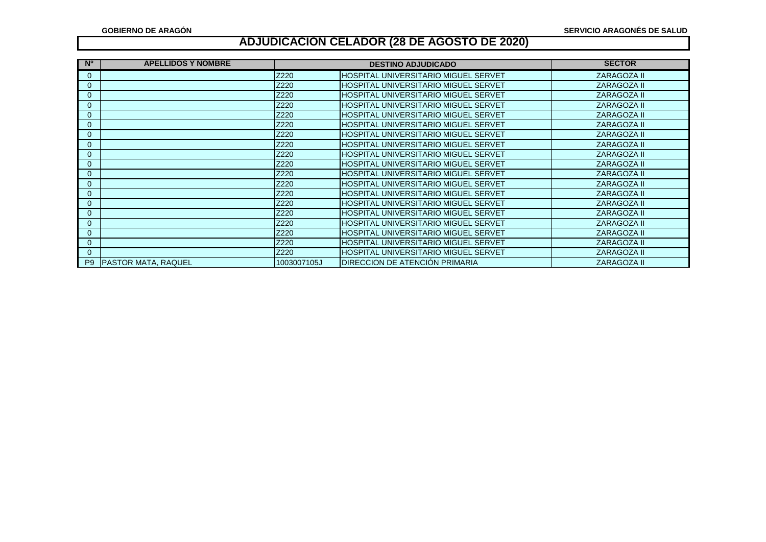| <b>N°</b>      | <b>APELLIDOS Y NOMBRE</b>  | <b>DESTINO ADJUDICADO</b> |                                               | <b>SECTOR</b>      |
|----------------|----------------------------|---------------------------|-----------------------------------------------|--------------------|
| $\mathbf 0$    |                            | Z220                      | IHOSPITAL UNIVERSITARIO MIGUEL SERVET         | ZARAGOZA II        |
| $\mathbf 0$    |                            | Z220                      | <b>HOSPITAL UNIVERSITARIO MIGUEL SERVET</b>   | <b>ZARAGOZA II</b> |
| $\mathbf 0$    |                            | Z220                      | <b>HOSPITAL UNIVERSITARIO MIGUEL SERVET</b>   | <b>ZARAGOZA II</b> |
| $\mathbf 0$    |                            | Z220                      | HOSPITAL UNIVERSITARIO MIGUEL SERVET          | <b>ZARAGOZA II</b> |
| $\mathbf 0$    |                            | Z220                      | HOSPITAL UNIVERSITARIO MIGUEL SERVET          | <b>ZARAGOZA II</b> |
| $\mathbf 0$    |                            | Z220                      | <b>HOSPITAL UNIVERSITARIO MIGUEL SERVET</b>   | <b>ZARAGOZA II</b> |
| $\mathbf 0$    |                            | Z220                      | <b>HOSPITAL UNIVERSITARIO MIGUEL SERVET</b>   | <b>ZARAGOZA II</b> |
| $\mathbf 0$    |                            | Z220                      | HOSPITAL UNIVERSITARIO MIGUEL SERVET          | <b>ZARAGOZA II</b> |
| $\mathbf 0$    |                            | Z220                      | HOSPITAL UNIVERSITARIO MIGUEL SERVET          | <b>ZARAGOZA II</b> |
| 0              |                            | Z220                      | <b>HOSPITAL UNIVERSITARIO MIGUEL SERVET</b>   | <b>ZARAGOZA II</b> |
| $\mathbf{0}$   |                            | Z220                      | <b>HOSPITAL UNIVERSITARIO MIGUEL SERVET</b>   | <b>ZARAGOZA II</b> |
| $\mathbf 0$    |                            | Z220                      | HOSPITAL UNIVERSITARIO MIGUEL SERVET          | <b>ZARAGOZA II</b> |
| $\mathbf 0$    |                            | Z220                      | HOSPITAL UNIVERSITARIO MIGUEL SERVET          | <b>ZARAGOZA II</b> |
| $\mathbf 0$    |                            | Z220                      | HOSPITAL UNIVERSITARIO MIGUEL SERVET          | <b>ZARAGOZA II</b> |
| $\mathbf 0$    |                            | Z220                      | HOSPITAL UNIVERSITARIO MIGUEL SERVET          | ZARAGOZA II        |
| $\mathbf 0$    |                            | Z220                      | HOSPITAL UNIVERSITARIO MIGUEL SERVET          | <b>ZARAGOZA II</b> |
| $\mathbf 0$    |                            | Z220                      | HOSPITAL UNIVERSITARIO MIGUEL SERVET          | <b>ZARAGOZA II</b> |
| $\mathbf 0$    |                            | Z220                      | HOSPITAL UNIVERSITARIO MIGUEL SERVET          | <b>ZARAGOZA II</b> |
| $\mathbf{0}$   |                            | Z220                      | <b>I</b> HOSPITAL UNIVERSITARIO MIGUEL SERVET | <b>ZARAGOZA II</b> |
| P <sub>9</sub> | <b>PASTOR MATA, RAQUEL</b> | 1003007105J               | IDIRECCION DE ATENCIÓN PRIMARIA               | <b>ZARAGOZA II</b> |